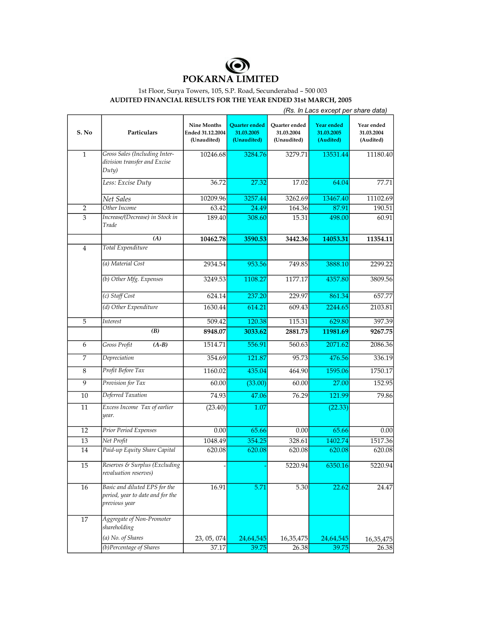

## 1st Floor, Surya Towers, 105, S.P. Road, Secunderabad – 500 003 **AUDITED FINANCIAL RESULTS FOR THE YEAR ENDED 31st MARCH, 2005**

|                 |                                                                                    | (Rs. In Lacs except per share data)                   |                                            |                                            |                                       |                                       |  |
|-----------------|------------------------------------------------------------------------------------|-------------------------------------------------------|--------------------------------------------|--------------------------------------------|---------------------------------------|---------------------------------------|--|
| S. No           | <b>Particulars</b>                                                                 | <b>Nine Months</b><br>Ended 31.12.2004<br>(Unaudited) | Quarter ended<br>31.03.2005<br>(Unaudited) | Quarter ended<br>31.03.2004<br>(Unaudited) | Year ended<br>31.03.2005<br>(Audited) | Year ended<br>31.03.2004<br>(Audited) |  |
| $\mathbf{1}$    | Gross Sales (Including Inter-<br>division transfer and Excise<br>Duty)             | 10246.68                                              | 3284.76                                    | 3279.71                                    | 13531.44                              | 11180.40                              |  |
|                 | Less: Excise Duty                                                                  | 36.72                                                 | 27.32                                      | 17.02                                      | 64.04                                 | 77.71                                 |  |
|                 | Net Sales                                                                          | 10209.96                                              | 3257.44                                    | 3262.69                                    | 13467.40                              | 11102.69                              |  |
| 2               | Other Income                                                                       | 63.42                                                 | 24.49                                      | 164.36                                     | 87.91                                 | 190.51                                |  |
| 3               | Increase/(Decrease) in Stock in<br>Trade                                           | 189.40                                                | 308.60                                     | 15.31                                      | 498.00                                | 60.91                                 |  |
|                 | (A)                                                                                | 10462.78                                              | 3590.53                                    | 3442.36                                    | 14053.31                              | 11354.11                              |  |
| $\overline{4}$  | Total Expenditure                                                                  |                                                       |                                            |                                            |                                       |                                       |  |
|                 | (a) Material Cost                                                                  | 2934.54                                               | 953.56                                     | 749.85                                     | 3888.10                               | 2299.22                               |  |
|                 | (b) Other Mfg. Expenses                                                            | 3249.53                                               | 1108.27                                    | 1177.17                                    | 4357.80                               | 3809.56                               |  |
|                 | (c) Staff Cost                                                                     | 624.14                                                | 237.20                                     | 229.97                                     | 861.34                                | 657.77                                |  |
|                 | (d) Other Expenditure                                                              | 1630.44                                               | 614.21                                     | 609.43                                     | 2244.65                               | 2103.81                               |  |
| 5               | Interest                                                                           | 509.42                                                | 120.38                                     | 115.31                                     | 629.80                                | 397.39                                |  |
|                 | (B)                                                                                | 8948.07                                               | 3033.62                                    | 2881.73                                    | 11981.69                              | 9267.75                               |  |
| 6               | Gross Profit<br>$(A-B)$                                                            | 1514.71                                               | 556.91                                     | 560.63                                     | 2071.62                               | 2086.36                               |  |
| 7               | Depreciation                                                                       | 354.69                                                | 121.87                                     | 95.73                                      | 476.56                                | 336.19                                |  |
| $\,8\,$         | Profit Before Tax                                                                  | 1160.02                                               | 435.04                                     | 464.90                                     | 1595.06                               | 1750.17                               |  |
| 9               | Provision for Tax                                                                  | 60.00                                                 | (33.00)                                    | 60.00                                      | 27.00                                 | 152.95                                |  |
| $\overline{10}$ | Deferred Taxation                                                                  | 74.93                                                 | 47.06                                      | 76.29                                      | 121.99                                | 79.86                                 |  |
| 11              | Excess Income Tax of earlier<br>year.                                              | (23.40)                                               | 1.07                                       |                                            | (22.33)                               |                                       |  |
| 12              | Prior Period Expenses                                                              | 0.00                                                  | 65.66                                      | 0.00                                       | 65.66                                 | 0.00                                  |  |
| 13              | Net Profit                                                                         | 1048.49                                               | 354.25                                     | 328.61                                     | 1402.74                               | 1517.36                               |  |
| 14              | Paid-up Equity Share Capital                                                       | 620.08                                                | 620.08                                     | 620.08                                     | 620.08                                | 620.08                                |  |
| 15              | Reserves & Surplus (Excluding<br>revaluation reserves)                             |                                                       |                                            | 5220.94                                    | 6350.16                               | 5220.94                               |  |
| 16              | Basic and diluted EPS for the<br>period, year to date and for the<br>previous year | 16.91                                                 | 5.71                                       | 5.30                                       | 22.62                                 | 24.47                                 |  |
| 17              | Aggregate of Non-Promoter<br>shareholding                                          |                                                       |                                            |                                            |                                       |                                       |  |
|                 | (a) No. of Shares                                                                  | 23, 05, 074                                           | 24,64,545                                  | 16,35,475                                  | 24,64,545                             | 16,35,475                             |  |
|                 | (b) Percentage of Shares                                                           | 37.17                                                 | 39.75                                      | 26.38                                      | 39.75                                 | 26.38                                 |  |